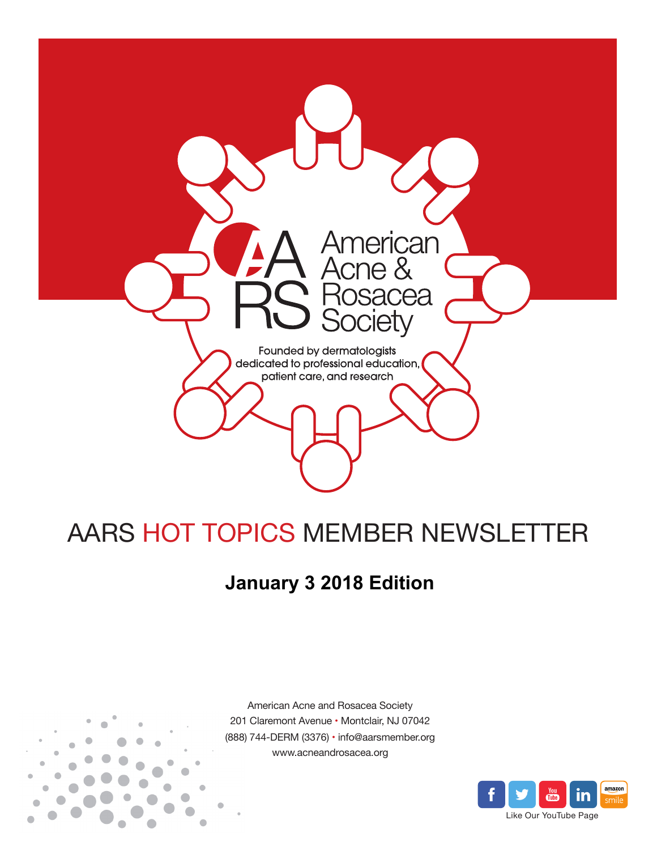

# AARS HOT TOPICS MEMBER NEWSLETTER

## **January 3 2018 Edition**



American Acne and Rosacea Society 201 Claremont Avenue • Montclair, NJ 07042 (888) 744-DERM (3376) • info@aarsmember.org www.acneandrosacea.org

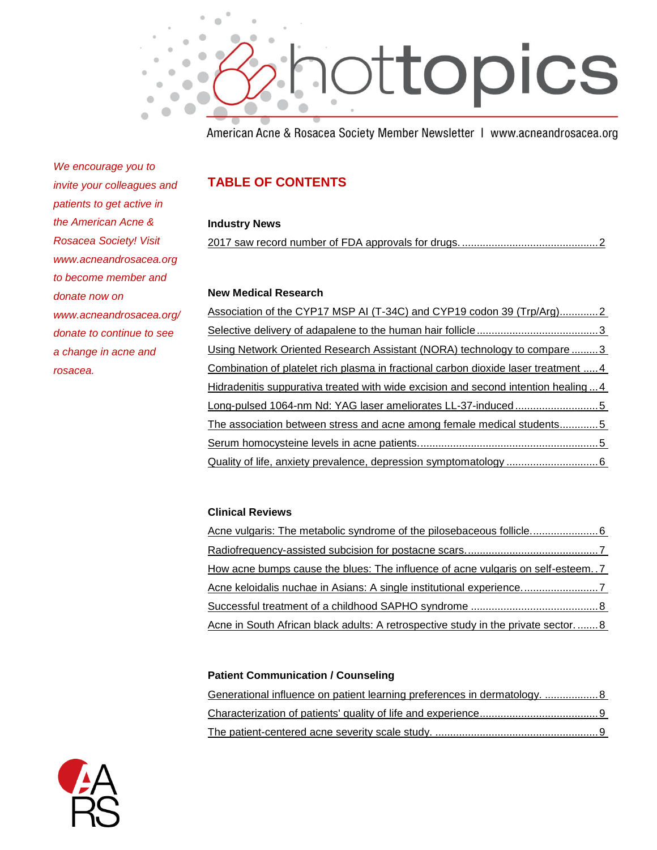

American Acne & Rosacea Society Member Newsletter | www.acneandrosacea.org

*We encourage you to invite your colleagues and patients to get active in the American Acne & Rosacea Society! Visit www.acneandrosacea.org to become member and donate now on www.acneandrosacea.org/ donate to continue to see a change in acne and rosacea.*

### **TABLE OF CONTENTS**

### **Industry News**

[2017 saw record number of FDA approvals for drugs.](#page-2-0) ..............................................2

### **New Medical Research**

| Association of the CYP17 MSP AI (T-34C) and CYP19 codon 39 (Trp/Arg)2              |  |
|------------------------------------------------------------------------------------|--|
|                                                                                    |  |
| Using Network Oriented Research Assistant (NORA) technology to compare 3           |  |
| Combination of platelet rich plasma in fractional carbon dioxide laser treatment 4 |  |
| Hidradenitis suppurativa treated with wide excision and second intention healing4  |  |
| Long-pulsed 1064-nm Nd: YAG laser ameliorates LL-37-induced5                       |  |
| The association between stress and acne among female medical students5             |  |
|                                                                                    |  |
|                                                                                    |  |

### **Clinical Reviews**

| <u>How acne bumps cause the blues: The influence of acne vulgaris on self-esteem7</u> |
|---------------------------------------------------------------------------------------|
| Acne keloidalis nuchae in Asians: A single institutional experience                   |
|                                                                                       |
| Acne in South African black adults: A retrospective study in the private sector8      |

### **Patient Communication / Counseling**

| Generational influence on patient learning preferences in dermatology.  8 |  |
|---------------------------------------------------------------------------|--|
|                                                                           |  |
|                                                                           |  |

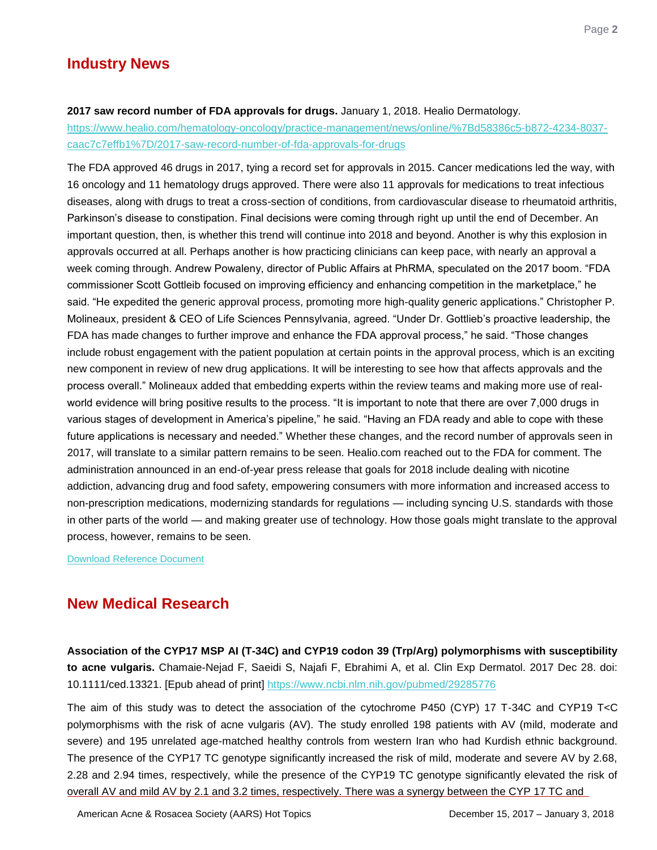### **Industry News**

#### <span id="page-2-0"></span>**2017 saw record number of FDA approvals for drugs.** January 1, 2018. Healio Dermatology.

[https://www.healio.com/hematology-oncology/practice-management/news/online/%7Bd58386c5-b872-4234-8037](https://www.healio.com/hematology-oncology/practice-management/news/online/%7Bd58386c5-b872-4234-8037-caac7c7effb1%7D/2017-saw-record-number-of-fda-approvals-for-drugs) [caac7c7effb1%7D/2017-saw-record-number-of-fda-approvals-for-drugs](https://www.healio.com/hematology-oncology/practice-management/news/online/%7Bd58386c5-b872-4234-8037-caac7c7effb1%7D/2017-saw-record-number-of-fda-approvals-for-drugs)

The FDA approved 46 drugs in 2017, tying a record set for approvals in 2015. Cancer medications led the way, with 16 oncology and 11 hematology drugs approved. There were also 11 approvals for medications to treat infectious diseases, along with drugs to treat a cross-section of conditions, from cardiovascular disease to rheumatoid arthritis, Parkinson's disease to constipation. Final decisions were coming through right up until the end of December. An important question, then, is whether this trend will continue into 2018 and beyond. Another is why this explosion in approvals occurred at all. Perhaps another is how practicing clinicians can keep pace, with nearly an approval a week coming through. Andrew Powaleny, director of Public Affairs at PhRMA, speculated on the 2017 boom. "FDA commissioner Scott Gottleib focused on improving efficiency and enhancing competition in the marketplace," he said. "He expedited the generic approval process, promoting more high-quality generic applications." Christopher P. Molineaux, president & CEO of Life Sciences Pennsylvania, agreed. "Under Dr. Gottlieb's proactive leadership, the FDA has made changes to further improve and enhance the FDA approval process," he said. "Those changes include robust engagement with the patient population at certain points in the approval process, which is an exciting new component in review of new drug applications. It will be interesting to see how that affects approvals and the process overall.‖ Molineaux added that embedding experts within the review teams and making more use of realworld evidence will bring positive results to the process. "It is important to note that there are over 7,000 drugs in various stages of development in America's pipeline," he said. "Having an FDA ready and able to cope with these future applications is necessary and needed." Whether these changes, and the record number of approvals seen in 2017, will translate to a similar pattern remains to be seen. Healio.com reached out to the FDA for comment. The administration announced in an end-of-year press release that goals for 2018 include dealing with nicotine addiction, advancing drug and food safety, empowering consumers with more information and increased access to non-prescription medications, modernizing standards for regulations — including syncing U.S. standards with those in other parts of the world — and making greater use of technology. How those goals might translate to the approval process, however, remains to be seen.

[Download Reference Document](http://files.constantcontact.com/c2fa20d1101/da8c642c-0fd5-42cb-9496-cf89b191668a.pdf?ver=1515007403000)

### **New Medical Research**

<span id="page-2-1"></span>**Association of the CYP17 MSP AI (T-34C) and CYP19 codon 39 (Trp/Arg) polymorphisms with susceptibility to acne vulgaris.** Chamaie-Nejad F, Saeidi S, Najafi F, Ebrahimi A, et al. Clin Exp Dermatol. 2017 Dec 28. doi: 10.1111/ced.13321. [Epub ahead of print]<https://www.ncbi.nlm.nih.gov/pubmed/29285776>

The aim of this study was to detect the association of the cytochrome P450 (CYP) 17 T-34C and CYP19 T<C polymorphisms with the risk of acne vulgaris (AV). The study enrolled 198 patients with AV (mild, moderate and severe) and 195 unrelated age-matched healthy controls from western Iran who had Kurdish ethnic background. The presence of the CYP17 TC genotype significantly increased the risk of mild, moderate and severe AV by 2.68, 2.28 and 2.94 times, respectively, while the presence of the CYP19 TC genotype significantly elevated the risk of overall AV and mild AV by 2.1 and 3.2 times, respectively. There was a synergy between the CYP 17 TC and

American Acne & Rosacea Society (AARS) Hot Topics December 15, 2017 – January 3, 2018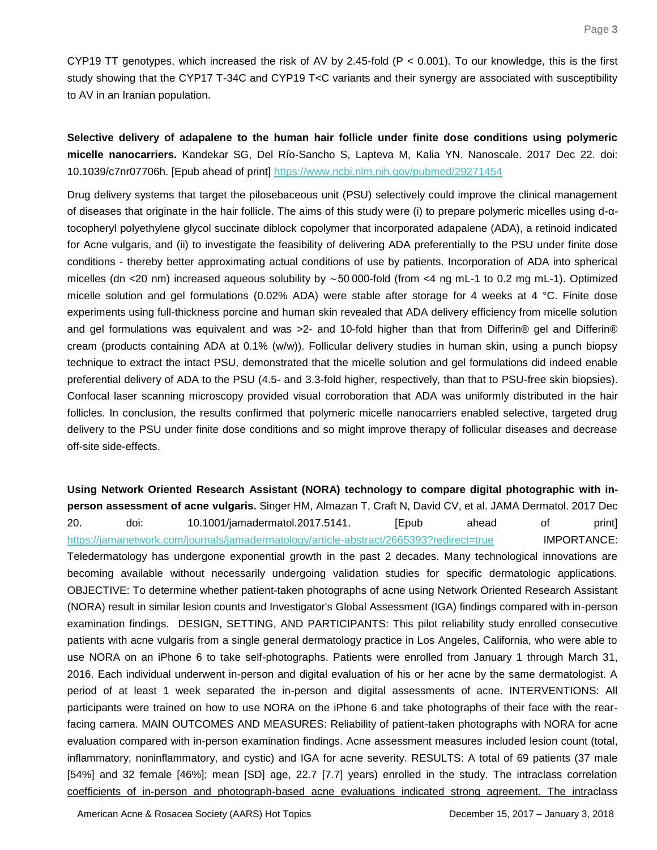CYP19 TT genotypes, which increased the risk of AV by 2.45-fold ( $P < 0.001$ ). To our knowledge, this is the first study showing that the CYP17 T-34C and CYP19 T<C variants and their synergy are associated with susceptibility to AV in an Iranian population.

<span id="page-3-0"></span>**Selective delivery of adapalene to the human hair follicle under finite dose conditions using polymeric micelle nanocarriers.** Kandekar SG, Del Río-Sancho S, Lapteva M, Kalia YN. Nanoscale. 2017 Dec 22. doi: 10.1039/c7nr07706h. [Epub ahead of print]<https://www.ncbi.nlm.nih.gov/pubmed/29271454>

Drug delivery systems that target the pilosebaceous unit (PSU) selectively could improve the clinical management of diseases that originate in the hair follicle. The aims of this study were (i) to prepare polymeric micelles using d-αtocopheryl polyethylene glycol succinate diblock copolymer that incorporated adapalene (ADA), a retinoid indicated for Acne vulgaris, and (ii) to investigate the feasibility of delivering ADA preferentially to the PSU under finite dose conditions - thereby better approximating actual conditions of use by patients. Incorporation of ADA into spherical micelles (dn <20 nm) increased aqueous solubility by ∼50 000-fold (from <4 ng mL-1 to 0.2 mg mL-1). Optimized micelle solution and gel formulations (0.02% ADA) were stable after storage for 4 weeks at 4 °C. Finite dose experiments using full-thickness porcine and human skin revealed that ADA delivery efficiency from micelle solution and gel formulations was equivalent and was >2- and 10-fold higher than that from Differin® gel and Differin® cream (products containing ADA at 0.1% (w/w)). Follicular delivery studies in human skin, using a punch biopsy technique to extract the intact PSU, demonstrated that the micelle solution and gel formulations did indeed enable preferential delivery of ADA to the PSU (4.5- and 3.3-fold higher, respectively, than that to PSU-free skin biopsies). Confocal laser scanning microscopy provided visual corroboration that ADA was uniformly distributed in the hair follicles. In conclusion, the results confirmed that polymeric micelle nanocarriers enabled selective, targeted drug delivery to the PSU under finite dose conditions and so might improve therapy of follicular diseases and decrease off-site side-effects.

<span id="page-3-1"></span>**Using Network Oriented Research Assistant (NORA) technology to compare digital photographic with inperson assessment of acne vulgaris.** Singer HM, Almazan T, Craft N, David CV, et al. JAMA Dermatol. 2017 Dec 20. doi: 10.1001/jamadermatol.2017.5141. [Epub ahead of print] <https://jamanetwork.com/journals/jamadermatology/article-abstract/2665393?redirect=true> **IMPORTANCE:** Teledermatology has undergone exponential growth in the past 2 decades. Many technological innovations are becoming available without necessarily undergoing validation studies for specific dermatologic applications. OBJECTIVE: To determine whether patient-taken photographs of acne using Network Oriented Research Assistant (NORA) result in similar lesion counts and Investigator's Global Assessment (IGA) findings compared with in-person examination findings. DESIGN, SETTING, AND PARTICIPANTS: This pilot reliability study enrolled consecutive patients with acne vulgaris from a single general dermatology practice in Los Angeles, California, who were able to use NORA on an iPhone 6 to take self-photographs. Patients were enrolled from January 1 through March 31, 2016. Each individual underwent in-person and digital evaluation of his or her acne by the same dermatologist. A period of at least 1 week separated the in-person and digital assessments of acne. INTERVENTIONS: All participants were trained on how to use NORA on the iPhone 6 and take photographs of their face with the rearfacing camera. MAIN OUTCOMES AND MEASURES: Reliability of patient-taken photographs with NORA for acne evaluation compared with in-person examination findings. Acne assessment measures included lesion count (total, inflammatory, noninflammatory, and cystic) and IGA for acne severity. RESULTS: A total of 69 patients (37 male [54%] and 32 female [46%]; mean [SD] age, 22.7 [7.7] years) enrolled in the study. The intraclass correlation coefficients of in-person and photograph-based acne evaluations indicated strong agreement. The intraclass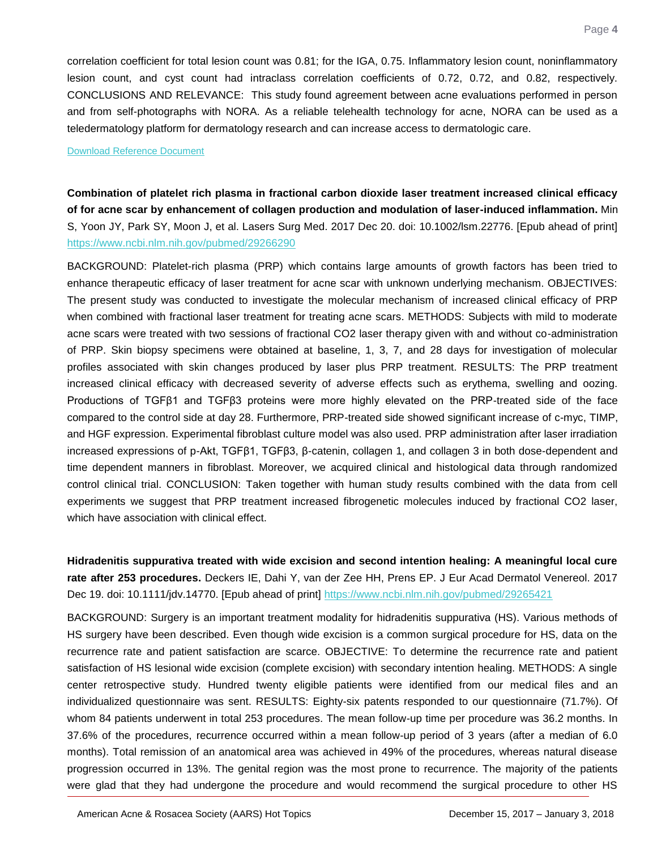correlation coefficient for total lesion count was 0.81; for the IGA, 0.75. Inflammatory lesion count, noninflammatory lesion count, and cyst count had intraclass correlation coefficients of 0.72, 0.72, and 0.82, respectively. CONCLUSIONS AND RELEVANCE: This study found agreement between acne evaluations performed in person and from self-photographs with NORA. As a reliable telehealth technology for acne, NORA can be used as a teledermatology platform for dermatology research and can increase access to dermatologic care.

#### [Download Reference Document](http://files.constantcontact.com/c2fa20d1101/c401c229-e936-4a81-8b65-4fc9ede677d5.pdf?ver=1515007403000)

<span id="page-4-0"></span>**Combination of platelet rich plasma in fractional carbon dioxide laser treatment increased clinical efficacy of for acne scar by enhancement of collagen production and modulation of laser-induced inflammation.** Min S, Yoon JY, Park SY, Moon J, et al. Lasers Surg Med. 2017 Dec 20. doi: 10.1002/lsm.22776. [Epub ahead of print] <https://www.ncbi.nlm.nih.gov/pubmed/29266290>

BACKGROUND: Platelet-rich plasma (PRP) which contains large amounts of growth factors has been tried to enhance therapeutic efficacy of laser treatment for acne scar with unknown underlying mechanism. OBJECTIVES: The present study was conducted to investigate the molecular mechanism of increased clinical efficacy of PRP when combined with fractional laser treatment for treating acne scars. METHODS: Subjects with mild to moderate acne scars were treated with two sessions of fractional CO2 laser therapy given with and without co-administration of PRP. Skin biopsy specimens were obtained at baseline, 1, 3, 7, and 28 days for investigation of molecular profiles associated with skin changes produced by laser plus PRP treatment. RESULTS: The PRP treatment increased clinical efficacy with decreased severity of adverse effects such as erythema, swelling and oozing. Productions of TGFβ1 and TGFβ3 proteins were more highly elevated on the PRP-treated side of the face compared to the control side at day 28. Furthermore, PRP-treated side showed significant increase of c-myc, TIMP, and HGF expression. Experimental fibroblast culture model was also used. PRP administration after laser irradiation increased expressions of p-Akt, TGFβ1, TGFβ3, β-catenin, collagen 1, and collagen 3 in both dose-dependent and time dependent manners in fibroblast. Moreover, we acquired clinical and histological data through randomized control clinical trial. CONCLUSION: Taken together with human study results combined with the data from cell experiments we suggest that PRP treatment increased fibrogenetic molecules induced by fractional CO2 laser, which have association with clinical effect.

<span id="page-4-1"></span>**Hidradenitis suppurativa treated with wide excision and second intention healing: A meaningful local cure rate after 253 procedures.** Deckers IE, Dahi Y, van der Zee HH, Prens EP. J Eur Acad Dermatol Venereol. 2017 Dec 19. doi: 10.1111/jdv.14770. [Epub ahead of print]<https://www.ncbi.nlm.nih.gov/pubmed/29265421>

BACKGROUND: Surgery is an important treatment modality for hidradenitis suppurativa (HS). Various methods of HS surgery have been described. Even though wide excision is a common surgical procedure for HS, data on the recurrence rate and patient satisfaction are scarce. OBJECTIVE: To determine the recurrence rate and patient satisfaction of HS lesional wide excision (complete excision) with secondary intention healing. METHODS: A single center retrospective study. Hundred twenty eligible patients were identified from our medical files and an individualized questionnaire was sent. RESULTS: Eighty-six patents responded to our questionnaire (71.7%). Of whom 84 patients underwent in total 253 procedures. The mean follow-up time per procedure was 36.2 months. In 37.6% of the procedures, recurrence occurred within a mean follow-up period of 3 years (after a median of 6.0 months). Total remission of an anatomical area was achieved in 49% of the procedures, whereas natural disease progression occurred in 13%. The genital region was the most prone to recurrence. The majority of the patients were glad that they had undergone the procedure and would recommend the surgical procedure to other HS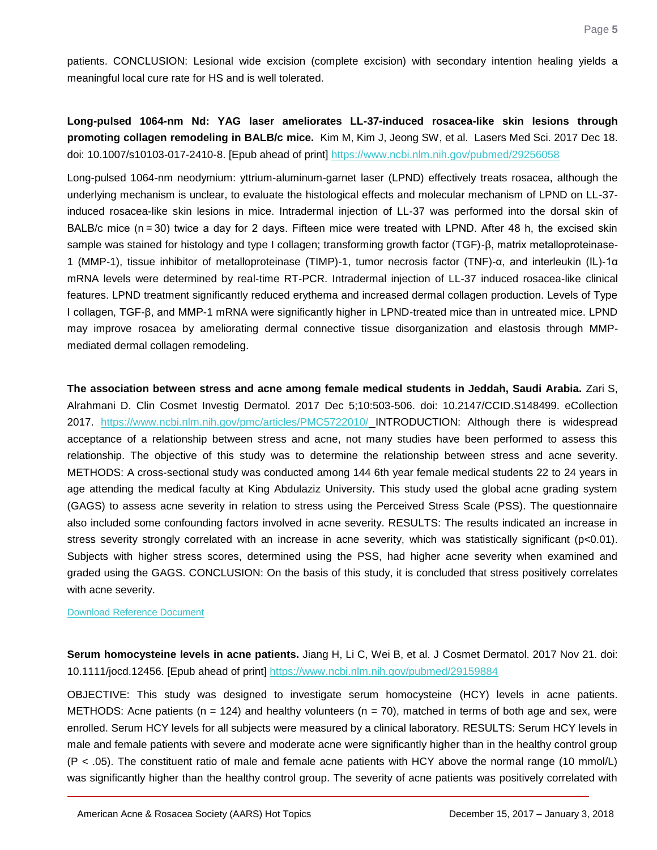patients. CONCLUSION: Lesional wide excision (complete excision) with secondary intention healing yields a meaningful local cure rate for HS and is well tolerated.

<span id="page-5-0"></span>**Long-pulsed 1064-nm Nd: YAG laser ameliorates LL-37-induced rosacea-like skin lesions through promoting collagen remodeling in BALB/c mice.** Kim M, Kim J, Jeong SW, et al. Lasers Med Sci. 2017 Dec 18. doi: 10.1007/s10103-017-2410-8. [Epub ahead of print]<https://www.ncbi.nlm.nih.gov/pubmed/29256058>

Long-pulsed 1064-nm neodymium: yttrium-aluminum-garnet laser (LPND) effectively treats rosacea, although the underlying mechanism is unclear, to evaluate the histological effects and molecular mechanism of LPND on LL-37 induced rosacea-like skin lesions in mice. Intradermal injection of LL-37 was performed into the dorsal skin of BALB/c mice (n = 30) twice a day for 2 days. Fifteen mice were treated with LPND. After 48 h, the excised skin sample was stained for histology and type I collagen; transforming growth factor (TGF)-β, matrix metalloproteinase-1 (MMP-1), tissue inhibitor of metalloproteinase (TIMP)-1, tumor necrosis factor (TNF)-α, and interleukin (IL)-1α mRNA levels were determined by real-time RT-PCR. Intradermal injection of LL-37 induced rosacea-like clinical features. LPND treatment significantly reduced erythema and increased dermal collagen production. Levels of Type I collagen, TGF-β, and MMP-1 mRNA were significantly higher in LPND-treated mice than in untreated mice. LPND may improve rosacea by ameliorating dermal connective tissue disorganization and elastosis through MMPmediated dermal collagen remodeling.

<span id="page-5-1"></span>**The association between stress and acne among female medical students in Jeddah, Saudi Arabia.** Zari S, Alrahmani D. Clin Cosmet Investig Dermatol. 2017 Dec 5;10:503-506. doi: 10.2147/CCID.S148499. eCollection 2017. <https://www.ncbi.nlm.nih.gov/pmc/articles/PMC5722010/> INTRODUCTION: Although there is widespread acceptance of a relationship between stress and acne, not many studies have been performed to assess this relationship. The objective of this study was to determine the relationship between stress and acne severity. METHODS: A cross-sectional study was conducted among 144 6th year female medical students 22 to 24 years in age attending the medical faculty at King Abdulaziz University. This study used the global acne grading system (GAGS) to assess acne severity in relation to stress using the Perceived Stress Scale (PSS). The questionnaire also included some confounding factors involved in acne severity. RESULTS: The results indicated an increase in stress severity strongly correlated with an increase in acne severity, which was statistically significant (p<0.01). Subjects with higher stress scores, determined using the PSS, had higher acne severity when examined and graded using the GAGS. CONCLUSION: On the basis of this study, it is concluded that stress positively correlates with acne severity.

#### [Download Reference Document](http://files.constantcontact.com/c2fa20d1101/f1258cfb-e65e-4297-8f77-ce1e5408d3e6.pdf?ver=1515007408000)

<span id="page-5-2"></span>**Serum homocysteine levels in acne patients.** Jiang H, Li C, Wei B, et al. J Cosmet Dermatol. 2017 Nov 21. doi: 10.1111/jocd.12456. [Epub ahead of print]<https://www.ncbi.nlm.nih.gov/pubmed/29159884>

OBJECTIVE: This study was designed to investigate serum homocysteine (HCY) levels in acne patients. METHODS: Acne patients (n = 124) and healthy volunteers (n = 70), matched in terms of both age and sex, were enrolled. Serum HCY levels for all subjects were measured by a clinical laboratory. RESULTS: Serum HCY levels in male and female patients with severe and moderate acne were significantly higher than in the healthy control group (P < .05). The constituent ratio of male and female acne patients with HCY above the normal range (10 mmol/L) was significantly higher than the healthy control group. The severity of acne patients was positively correlated with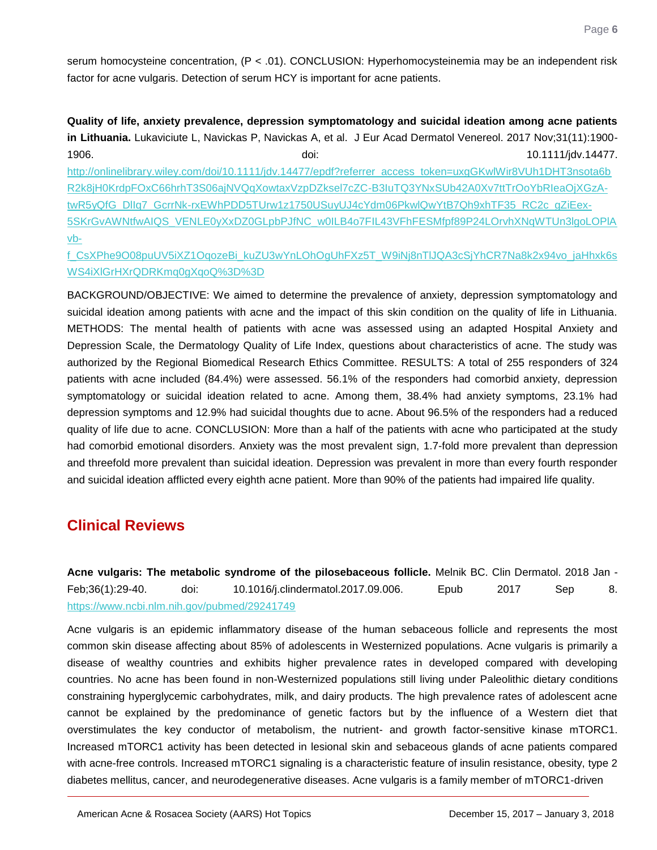serum homocysteine concentration, (P < .01). CONCLUSION: Hyperhomocysteinemia may be an independent risk factor for acne vulgaris. Detection of serum HCY is important for acne patients.

<span id="page-6-0"></span>**Quality of life, anxiety prevalence, depression symptomatology and suicidal ideation among acne patients in Lithuania.** Lukaviciute L, Navickas P, Navickas A, et al. J Eur Acad Dermatol Venereol. 2017 Nov;31(11):1900- 1906. doi: 10.1111/jdv.14477.

[http://onlinelibrary.wiley.com/doi/10.1111/jdv.14477/epdf?referrer\\_access\\_token=uxgGKwlWir8VUh1DHT3nsota6b](http://onlinelibrary.wiley.com/doi/10.1111/jdv.14477/epdf?referrer_access_token=uxgGKwlWir8VUh1DHT3nsota6bR2k8jH0KrdpFOxC66hrhT3S06ajNVQqXowtaxVzpDZksel7cZC-B3IuTQ3YNxSUb42A0Xv7ttTrOoYbRIeaOjXGzA-twR5yQfG_DlIq7_GcrrNk-rxEWhPDD5TUrw1z1750USuyUJ4cYdm06PkwlQwYtB7Qh9xhTF35_RC2c_gZiEex-5SKrGvAWNtfwAIQS_VENLE0yXxDZ0GLpbPJfNC_w0ILB4o7FIL43VFhFESMfpf89P24LOrvhXNqWTUn3lgoLOPlAvb-f_CsXPhe9O08puUV5iXZ1OqozeBi_kuZU3wYnLOhOgUhFXz5T_W9iNj8nTlJQA3cSjYhCR7Na8k2x94vo_jaHhxk6sWS4iXlGrHXrQDRKmq0gXqoQ%3D%3D) [R2k8jH0KrdpFOxC66hrhT3S06ajNVQqXowtaxVzpDZksel7cZC-B3IuTQ3YNxSUb42A0Xv7ttTrOoYbRIeaOjXGzA](http://onlinelibrary.wiley.com/doi/10.1111/jdv.14477/epdf?referrer_access_token=uxgGKwlWir8VUh1DHT3nsota6bR2k8jH0KrdpFOxC66hrhT3S06ajNVQqXowtaxVzpDZksel7cZC-B3IuTQ3YNxSUb42A0Xv7ttTrOoYbRIeaOjXGzA-twR5yQfG_DlIq7_GcrrNk-rxEWhPDD5TUrw1z1750USuyUJ4cYdm06PkwlQwYtB7Qh9xhTF35_RC2c_gZiEex-5SKrGvAWNtfwAIQS_VENLE0yXxDZ0GLpbPJfNC_w0ILB4o7FIL43VFhFESMfpf89P24LOrvhXNqWTUn3lgoLOPlAvb-f_CsXPhe9O08puUV5iXZ1OqozeBi_kuZU3wYnLOhOgUhFXz5T_W9iNj8nTlJQA3cSjYhCR7Na8k2x94vo_jaHhxk6sWS4iXlGrHXrQDRKmq0gXqoQ%3D%3D)[twR5yQfG\\_DlIq7\\_GcrrNk-rxEWhPDD5TUrw1z1750USuyUJ4cYdm06PkwlQwYtB7Qh9xhTF35\\_RC2c\\_gZiEex-](http://onlinelibrary.wiley.com/doi/10.1111/jdv.14477/epdf?referrer_access_token=uxgGKwlWir8VUh1DHT3nsota6bR2k8jH0KrdpFOxC66hrhT3S06ajNVQqXowtaxVzpDZksel7cZC-B3IuTQ3YNxSUb42A0Xv7ttTrOoYbRIeaOjXGzA-twR5yQfG_DlIq7_GcrrNk-rxEWhPDD5TUrw1z1750USuyUJ4cYdm06PkwlQwYtB7Qh9xhTF35_RC2c_gZiEex-5SKrGvAWNtfwAIQS_VENLE0yXxDZ0GLpbPJfNC_w0ILB4o7FIL43VFhFESMfpf89P24LOrvhXNqWTUn3lgoLOPlAvb-f_CsXPhe9O08puUV5iXZ1OqozeBi_kuZU3wYnLOhOgUhFXz5T_W9iNj8nTlJQA3cSjYhCR7Na8k2x94vo_jaHhxk6sWS4iXlGrHXrQDRKmq0gXqoQ%3D%3D)[5SKrGvAWNtfwAIQS\\_VENLE0yXxDZ0GLpbPJfNC\\_w0ILB4o7FIL43VFhFESMfpf89P24LOrvhXNqWTUn3lgoLOPlA](http://onlinelibrary.wiley.com/doi/10.1111/jdv.14477/epdf?referrer_access_token=uxgGKwlWir8VUh1DHT3nsota6bR2k8jH0KrdpFOxC66hrhT3S06ajNVQqXowtaxVzpDZksel7cZC-B3IuTQ3YNxSUb42A0Xv7ttTrOoYbRIeaOjXGzA-twR5yQfG_DlIq7_GcrrNk-rxEWhPDD5TUrw1z1750USuyUJ4cYdm06PkwlQwYtB7Qh9xhTF35_RC2c_gZiEex-5SKrGvAWNtfwAIQS_VENLE0yXxDZ0GLpbPJfNC_w0ILB4o7FIL43VFhFESMfpf89P24LOrvhXNqWTUn3lgoLOPlAvb-f_CsXPhe9O08puUV5iXZ1OqozeBi_kuZU3wYnLOhOgUhFXz5T_W9iNj8nTlJQA3cSjYhCR7Na8k2x94vo_jaHhxk6sWS4iXlGrHXrQDRKmq0gXqoQ%3D%3D) [vb-](http://onlinelibrary.wiley.com/doi/10.1111/jdv.14477/epdf?referrer_access_token=uxgGKwlWir8VUh1DHT3nsota6bR2k8jH0KrdpFOxC66hrhT3S06ajNVQqXowtaxVzpDZksel7cZC-B3IuTQ3YNxSUb42A0Xv7ttTrOoYbRIeaOjXGzA-twR5yQfG_DlIq7_GcrrNk-rxEWhPDD5TUrw1z1750USuyUJ4cYdm06PkwlQwYtB7Qh9xhTF35_RC2c_gZiEex-5SKrGvAWNtfwAIQS_VENLE0yXxDZ0GLpbPJfNC_w0ILB4o7FIL43VFhFESMfpf89P24LOrvhXNqWTUn3lgoLOPlAvb-f_CsXPhe9O08puUV5iXZ1OqozeBi_kuZU3wYnLOhOgUhFXz5T_W9iNj8nTlJQA3cSjYhCR7Na8k2x94vo_jaHhxk6sWS4iXlGrHXrQDRKmq0gXqoQ%3D%3D)

[f\\_CsXPhe9O08puUV5iXZ1OqozeBi\\_kuZU3wYnLOhOgUhFXz5T\\_W9iNj8nTlJQA3cSjYhCR7Na8k2x94vo\\_jaHhxk6s](http://onlinelibrary.wiley.com/doi/10.1111/jdv.14477/epdf?referrer_access_token=uxgGKwlWir8VUh1DHT3nsota6bR2k8jH0KrdpFOxC66hrhT3S06ajNVQqXowtaxVzpDZksel7cZC-B3IuTQ3YNxSUb42A0Xv7ttTrOoYbRIeaOjXGzA-twR5yQfG_DlIq7_GcrrNk-rxEWhPDD5TUrw1z1750USuyUJ4cYdm06PkwlQwYtB7Qh9xhTF35_RC2c_gZiEex-5SKrGvAWNtfwAIQS_VENLE0yXxDZ0GLpbPJfNC_w0ILB4o7FIL43VFhFESMfpf89P24LOrvhXNqWTUn3lgoLOPlAvb-f_CsXPhe9O08puUV5iXZ1OqozeBi_kuZU3wYnLOhOgUhFXz5T_W9iNj8nTlJQA3cSjYhCR7Na8k2x94vo_jaHhxk6sWS4iXlGrHXrQDRKmq0gXqoQ%3D%3D) [WS4iXlGrHXrQDRKmq0gXqoQ%3D%3D](http://onlinelibrary.wiley.com/doi/10.1111/jdv.14477/epdf?referrer_access_token=uxgGKwlWir8VUh1DHT3nsota6bR2k8jH0KrdpFOxC66hrhT3S06ajNVQqXowtaxVzpDZksel7cZC-B3IuTQ3YNxSUb42A0Xv7ttTrOoYbRIeaOjXGzA-twR5yQfG_DlIq7_GcrrNk-rxEWhPDD5TUrw1z1750USuyUJ4cYdm06PkwlQwYtB7Qh9xhTF35_RC2c_gZiEex-5SKrGvAWNtfwAIQS_VENLE0yXxDZ0GLpbPJfNC_w0ILB4o7FIL43VFhFESMfpf89P24LOrvhXNqWTUn3lgoLOPlAvb-f_CsXPhe9O08puUV5iXZ1OqozeBi_kuZU3wYnLOhOgUhFXz5T_W9iNj8nTlJQA3cSjYhCR7Na8k2x94vo_jaHhxk6sWS4iXlGrHXrQDRKmq0gXqoQ%3D%3D)

BACKGROUND/OBJECTIVE: We aimed to determine the prevalence of anxiety, depression symptomatology and suicidal ideation among patients with acne and the impact of this skin condition on the quality of life in Lithuania. METHODS: The mental health of patients with acne was assessed using an adapted Hospital Anxiety and Depression Scale, the Dermatology Quality of Life Index, questions about characteristics of acne. The study was authorized by the Regional Biomedical Research Ethics Committee. RESULTS: A total of 255 responders of 324 patients with acne included (84.4%) were assessed. 56.1% of the responders had comorbid anxiety, depression symptomatology or suicidal ideation related to acne. Among them, 38.4% had anxiety symptoms, 23.1% had depression symptoms and 12.9% had suicidal thoughts due to acne. About 96.5% of the responders had a reduced quality of life due to acne. CONCLUSION: More than a half of the patients with acne who participated at the study had comorbid emotional disorders. Anxiety was the most prevalent sign, 1.7-fold more prevalent than depression and threefold more prevalent than suicidal ideation. Depression was prevalent in more than every fourth responder and suicidal ideation afflicted every eighth acne patient. More than 90% of the patients had impaired life quality.

### **Clinical Reviews**

<span id="page-6-1"></span>**Acne vulgaris: The metabolic syndrome of the pilosebaceous follicle.** Melnik BC. Clin Dermatol. 2018 Jan - Feb;36(1):29-40. doi: 10.1016/j.clindermatol.2017.09.006. Epub 2017 Sep 8. <https://www.ncbi.nlm.nih.gov/pubmed/29241749>

Acne vulgaris is an epidemic inflammatory disease of the human sebaceous follicle and represents the most common skin disease affecting about 85% of adolescents in Westernized populations. Acne vulgaris is primarily a disease of wealthy countries and exhibits higher prevalence rates in developed compared with developing countries. No acne has been found in non-Westernized populations still living under Paleolithic dietary conditions constraining hyperglycemic carbohydrates, milk, and dairy products. The high prevalence rates of adolescent acne cannot be explained by the predominance of genetic factors but by the influence of a Western diet that overstimulates the key conductor of metabolism, the nutrient- and growth factor-sensitive kinase mTORC1. Increased mTORC1 activity has been detected in lesional skin and sebaceous glands of acne patients compared with acne-free controls. Increased mTORC1 signaling is a characteristic feature of insulin resistance, obesity, type 2 diabetes mellitus, cancer, and neurodegenerative diseases. Acne vulgaris is a family member of mTORC1-driven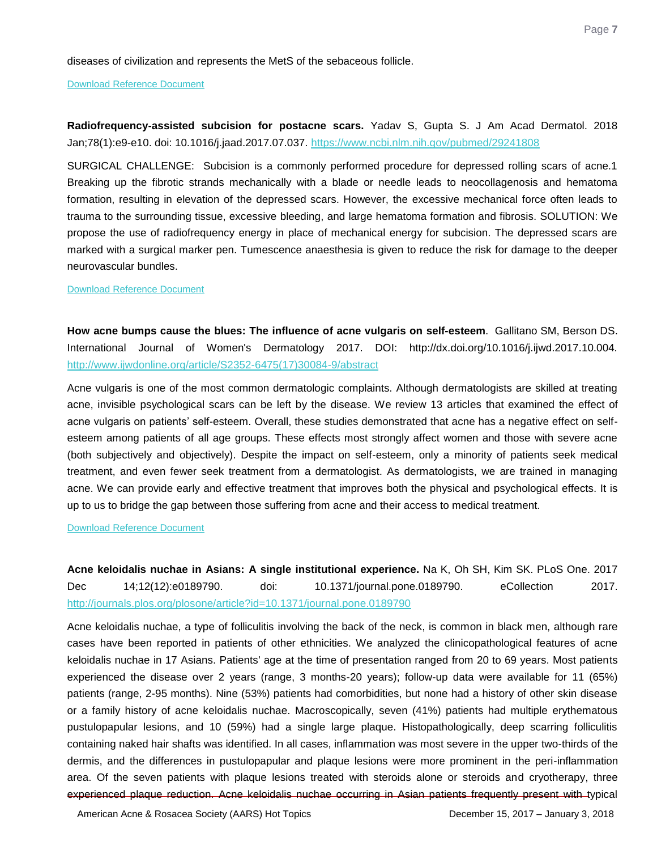diseases of civilization and represents the MetS of the sebaceous follicle.

#### [Download Reference Document](http://files.constantcontact.com/c2fa20d1101/2f8809bc-d9cc-4330-a413-b4af4f165428.pdf?ver=1515007411000)

<span id="page-7-0"></span>**Radiofrequency-assisted subcision for postacne scars.** Yadav S, Gupta S. J Am Acad Dermatol. 2018 Jan;78(1):e9-e10. doi: 10.1016/j.jaad.2017.07.037.<https://www.ncbi.nlm.nih.gov/pubmed/29241808>

SURGICAL CHALLENGE: Subcision is a commonly performed procedure for depressed rolling scars of acne.1 Breaking up the fibrotic strands mechanically with a blade or needle leads to neocollagenosis and hematoma formation, resulting in elevation of the depressed scars. However, the excessive mechanical force often leads to trauma to the surrounding tissue, excessive bleeding, and large hematoma formation and fibrosis. SOLUTION: We propose the use of radiofrequency energy in place of mechanical energy for subcision. The depressed scars are marked with a surgical marker pen. Tumescence anaesthesia is given to reduce the risk for damage to the deeper neurovascular bundles.

#### [Download Reference Document](http://files.constantcontact.com/c2fa20d1101/f5606e5e-183c-4c50-b627-c001ed6176cd.pdf?ver=1515007404000)

<span id="page-7-1"></span>**How acne bumps cause the blues: The influence of acne vulgaris on self-esteem**. Gallitano SM, Berson DS. International Journal of Women's Dermatology 2017. DOI: http://dx.doi.org/10.1016/j.ijwd.2017.10.004. [http://www.ijwdonline.org/article/S2352-6475\(17\)30084-9/abstract](http://www.ijwdonline.org/article/S2352-6475(17)30084-9/abstract)

Acne vulgaris is one of the most common dermatologic complaints. Although dermatologists are skilled at treating acne, invisible psychological scars can be left by the disease. We review 13 articles that examined the effect of acne vulgaris on patients' self-esteem. Overall, these studies demonstrated that acne has a negative effect on selfesteem among patients of all age groups. These effects most strongly affect women and those with severe acne (both subjectively and objectively). Despite the impact on self-esteem, only a minority of patients seek medical treatment, and even fewer seek treatment from a dermatologist. As dermatologists, we are trained in managing acne. We can provide early and effective treatment that improves both the physical and psychological effects. It is up to us to bridge the gap between those suffering from acne and their access to medical treatment.

### [Download Reference Document](http://files.constantcontact.com/c2fa20d1101/263e70c3-d689-46af-8657-717c7b33e0c9.pdf?ver=1515007408000)

<span id="page-7-2"></span>**Acne keloidalis nuchae in Asians: A single institutional experience.** Na K, Oh SH, Kim SK. PLoS One. 2017 Dec 14;12(12):e0189790. doi: 10.1371/journal.pone.0189790. eCollection 2017. <http://journals.plos.org/plosone/article?id=10.1371/journal.pone.0189790>

Acne keloidalis nuchae, a type of folliculitis involving the back of the neck, is common in black men, although rare cases have been reported in patients of other ethnicities. We analyzed the clinicopathological features of acne keloidalis nuchae in 17 Asians. Patients' age at the time of presentation ranged from 20 to 69 years. Most patients experienced the disease over 2 years (range, 3 months-20 years); follow-up data were available for 11 (65%) patients (range, 2-95 months). Nine (53%) patients had comorbidities, but none had a history of other skin disease or a family history of acne keloidalis nuchae. Macroscopically, seven (41%) patients had multiple erythematous pustulopapular lesions, and 10 (59%) had a single large plaque. Histopathologically, deep scarring folliculitis containing naked hair shafts was identified. In all cases, inflammation was most severe in the upper two-thirds of the dermis, and the differences in pustulopapular and plaque lesions were more prominent in the peri-inflammation area. Of the seven patients with plaque lesions treated with steroids alone or steroids and cryotherapy, three experienced plaque reduction. Acne keloidalis nuchae occurring in Asian patients frequently present with typical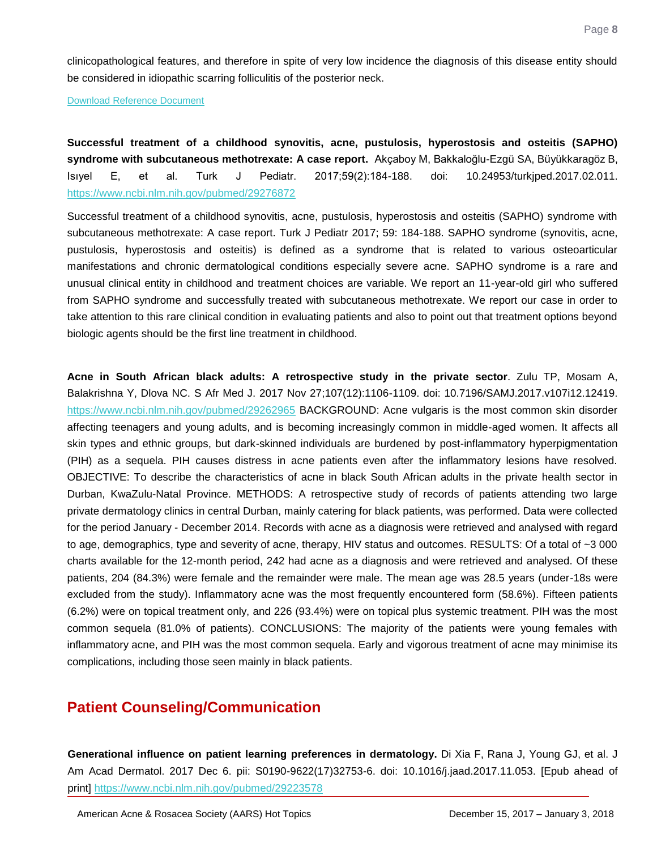clinicopathological features, and therefore in spite of very low incidence the diagnosis of this disease entity should be considered in idiopathic scarring folliculitis of the posterior neck.

[Download Reference Document](http://files.constantcontact.com/c2fa20d1101/74707e21-6fcf-436b-9c0c-3dc84a051b51.pdf?ver=1515007403000)

<span id="page-8-0"></span>**Successful treatment of a childhood synovitis, acne, pustulosis, hyperostosis and osteitis (SAPHO) syndrome with subcutaneous methotrexate: A case report.** Akçaboy M, Bakkaloğlu-Ezgü SA, Büyükkaragöz B, Isıyel E, et al. Turk J Pediatr. 2017;59(2):184-188. doi: 10.24953/turkjped.2017.02.011. <https://www.ncbi.nlm.nih.gov/pubmed/29276872>

Successful treatment of a childhood synovitis, acne, pustulosis, hyperostosis and osteitis (SAPHO) syndrome with subcutaneous methotrexate: A case report. Turk J Pediatr 2017; 59: 184-188. SAPHO syndrome (synovitis, acne, pustulosis, hyperostosis and osteitis) is defined as a syndrome that is related to various osteoarticular manifestations and chronic dermatological conditions especially severe acne. SAPHO syndrome is a rare and unusual clinical entity in childhood and treatment choices are variable. We report an 11-year-old girl who suffered from SAPHO syndrome and successfully treated with subcutaneous methotrexate. We report our case in order to take attention to this rare clinical condition in evaluating patients and also to point out that treatment options beyond biologic agents should be the first line treatment in childhood.

<span id="page-8-1"></span>**Acne in South African black adults: A retrospective study in the private sector**. Zulu TP, Mosam A, Balakrishna Y, Dlova NC. S Afr Med J. 2017 Nov 27;107(12):1106-1109. doi: 10.7196/SAMJ.2017.v107i12.12419. <https://www.ncbi.nlm.nih.gov/pubmed/29262965> BACKGROUND: Acne vulgaris is the most common skin disorder affecting teenagers and young adults, and is becoming increasingly common in middle-aged women. It affects all skin types and ethnic groups, but dark-skinned individuals are burdened by post-inflammatory hyperpigmentation (PIH) as a sequela. PIH causes distress in acne patients even after the inflammatory lesions have resolved. OBJECTIVE: To describe the characteristics of acne in black South African adults in the private health sector in Durban, KwaZulu-Natal Province. METHODS: A retrospective study of records of patients attending two large private dermatology clinics in central Durban, mainly catering for black patients, was performed. Data were collected for the period January - December 2014. Records with acne as a diagnosis were retrieved and analysed with regard to age, demographics, type and severity of acne, therapy, HIV status and outcomes. RESULTS: Of a total of ~3 000 charts available for the 12-month period, 242 had acne as a diagnosis and were retrieved and analysed. Of these patients, 204 (84.3%) were female and the remainder were male. The mean age was 28.5 years (under-18s were excluded from the study). Inflammatory acne was the most frequently encountered form (58.6%). Fifteen patients (6.2%) were on topical treatment only, and 226 (93.4%) were on topical plus systemic treatment. PIH was the most common sequela (81.0% of patients). CONCLUSIONS: The majority of the patients were young females with inflammatory acne, and PIH was the most common sequela. Early and vigorous treatment of acne may minimise its complications, including those seen mainly in black patients.

### **Patient Counseling/Communication**

<span id="page-8-2"></span>**Generational influence on patient learning preferences in dermatology.** Di Xia F, Rana J, Young GJ, et al. J Am Acad Dermatol. 2017 Dec 6. pii: S0190-9622(17)32753-6. doi: 10.1016/j.jaad.2017.11.053. [Epub ahead of print]<https://www.ncbi.nlm.nih.gov/pubmed/29223578>